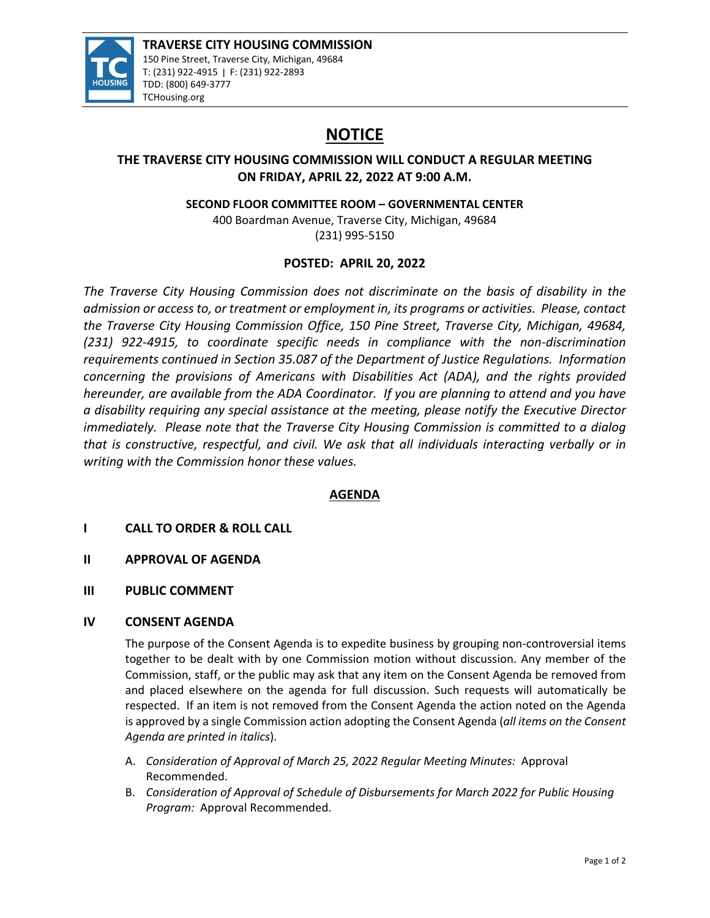

# **NOTICE**

## **THE TRAVERSE CITY HOUSING COMMISSION WILL CONDUCT A REGULAR MEETING ON FRIDAY, APRIL 22, 2022 AT 9:00 A.M.**

**SECOND FLOOR COMMITTEE ROOM – GOVERNMENTAL CENTER**

400 Boardman Avenue, Traverse City, Michigan, 49684 (231) 995‐5150

## **POSTED: APRIL 20, 2022**

*The Traverse City Housing Commission does not discriminate on the basis of disability in the admission or access to, or treatment or employment in, its programs or activities. Please, contact the Traverse City Housing Commission Office, 150 Pine Street, Traverse City, Michigan, 49684, (231) 922‐4915, to coordinate specific needs in compliance with the non‐discrimination requirements continued in Section 35.087 of the Department of Justice Regulations. Information concerning the provisions of Americans with Disabilities Act (ADA), and the rights provided hereunder, are available from the ADA Coordinator. If you are planning to attend and you have a disability requiring any special assistance at the meeting, please notify the Executive Director immediately. Please note that the Traverse City Housing Commission is committed to a dialog that is constructive, respectful, and civil. We ask that all individuals interacting verbally or in writing with the Commission honor these values.*

## **AGENDA**

## **I CALL TO ORDER & ROLL CALL**

- **II APPROVAL OF AGENDA**
- **III PUBLIC COMMENT**

## **IV CONSENT AGENDA**

The purpose of the Consent Agenda is to expedite business by grouping non-controversial items together to be dealt with by one Commission motion without discussion. Any member of the Commission, staff, or the public may ask that any item on the Consent Agenda be removed from and placed elsewhere on the agenda for full discussion. Such requests will automatically be respected. If an item is not removed from the Consent Agenda the action noted on the Agenda is approved by a single Commission action adopting the Consent Agenda (*all items on the Consent Agenda are printed in italics*).

- A. *Consideration of Approval of March 25, 2022 Regular Meeting Minutes:* Approval Recommended.
- B. *Consideration of Approval of Schedule of Disbursements for March 2022 for Public Housing Program:* Approval Recommended.